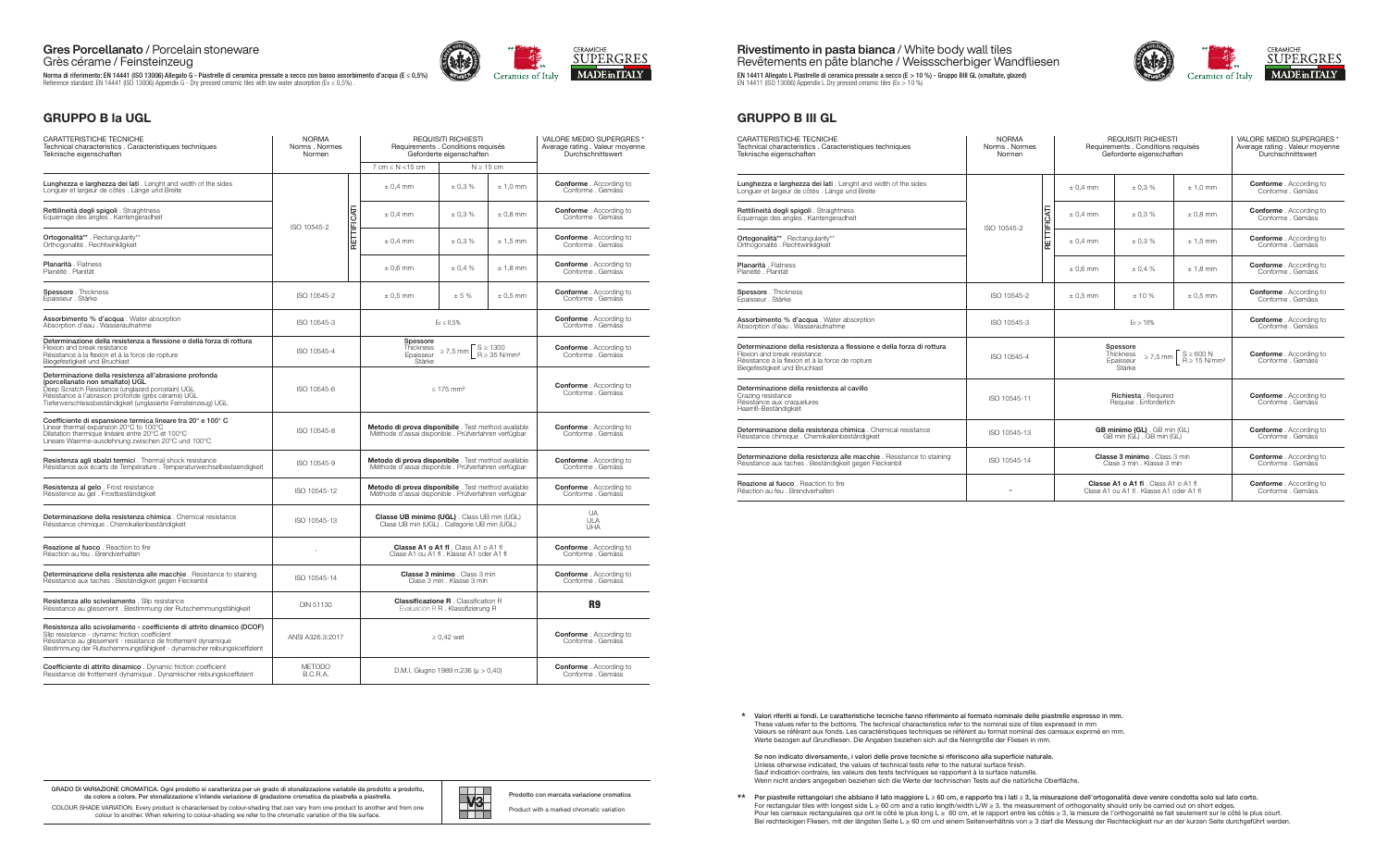GRADO DI VARIAZIONE CROMATICA. Ogni prodotto si caratterizza per un grado di stonalizzazione variabile da prodotto a prodotto, da colore a colore. Per stonalizzazione s'intende variazione di gradazione cromatica da piastrella a piastrella.

Prodotto con marcata variazione cromatica<br>Product with a marked chromatic variation Product with a marked chromatic variation





COLOUR SHADE VARIATION. Every product is characterised by colour-shading that can vary from one product to another and from one colour to another. When referring to colour-shading we refer to the chromatic variation of the tile surface.



EN 14411 Allegato L Piastrelle di ceramica pressate a secco (E > 10 %) - Gruppo BIII GL (smaltate, glazed)<br>EN 14411 (ISO 13006) Appendix L Dry pressed ceramic tiles (Ev > 10 %) Rivestimento in pasta bianca / White body wall tiles Revêtements en pâte blanche / Weissscherbiger Wandfliesen

Se non indicato diversamente, i valori delle prove tecniche si riferiscono alla superficie naturale. Unless otherwise indicated, the values of technical tests refer to the natural surface finish. Sauf indication contraire, les valeurs des tests techniques se rapportent à la surface naturelle. Wenn nicht anders angegeben beziehen sich die Werte der technischen Tests auf die natürliche Oberfläche.

| CARATTERISTICHE TECNICHE<br>Technical characteristics . Caracteristiques techniques<br>Teknische eigenschaften                                                                                                                                                        | <b>NORMA</b><br>Norms . Normes<br>Normen |             | <b>REQUISITI RICHIESTI</b><br>Requirements . Conditions requisés<br>Geforderte eigenschaften                   | VALORE MEDIO SUPERGRES<br>Average rating . Valeur moyenne<br>Durchschnittswert |                |                                                     |  |
|-----------------------------------------------------------------------------------------------------------------------------------------------------------------------------------------------------------------------------------------------------------------------|------------------------------------------|-------------|----------------------------------------------------------------------------------------------------------------|--------------------------------------------------------------------------------|----------------|-----------------------------------------------------|--|
|                                                                                                                                                                                                                                                                       |                                          |             | $7 cm \leq N < 15 cm$                                                                                          |                                                                                | $N \geq 15$ cm |                                                     |  |
| Lunghezza e larghezza dei lati. Lenght and width of the sides<br>Longuer et largeur de côtés. Länge und Breite                                                                                                                                                        |                                          |             | $\pm$ 0,4 mm                                                                                                   | ± 0.3 %                                                                        | $± 1,0$ mm     | <b>Conforme</b> . According to<br>Conforme . Gemäss |  |
| Rettilineità degli spigoli . Straightness<br>Equerrage des angles . Kantengeradheit                                                                                                                                                                                   |                                          |             | $\pm$ 0.4 mm                                                                                                   | $\pm$ 0,3 %                                                                    | $\pm$ 0.8 mm   | <b>Conforme</b> . According to<br>Conforme . Gemäss |  |
| Ortogonalità <sup>**</sup> . Rectangularity**<br>Orthogonalité . Rechtwinkligkeit                                                                                                                                                                                     | ISO 10545-2                              | RETTIFICATI | $\pm$ 0.4 mm                                                                                                   | $\pm$ 0,3 %                                                                    | $± 1,5$ mm     | <b>Conforme</b> . According to<br>Conforme . Gemäss |  |
| Planarità . Flatness<br>Planéité, Planität                                                                                                                                                                                                                            |                                          |             | $± 0.6$ mm                                                                                                     | ± 0,4%                                                                         | $± 1,8$ mm     | <b>Conforme</b> . According to<br>Conforme, Gemäss  |  |
| Spessore . Thickness<br>Epaisseur . Stärke                                                                                                                                                                                                                            | ISO 10545-2                              |             | $\pm$ 0,5 mm                                                                                                   | ± 5%                                                                           | $\pm$ 0.5 mm   | <b>Conforme</b> . According to<br>Conforme . Gemäss |  |
| Assorbimento % d'acqua . Water absorption<br>Absorption d'eau . Wasseraufnahme                                                                                                                                                                                        | ISO 10545-3                              |             | $Ev \leq 0.5\%$                                                                                                |                                                                                |                | <b>Conforme</b> . According to<br>Conforme . Gemäss |  |
| Determinazione della resistenza a flessione e della forza di rottura<br>Flexion and break resistance<br>Résistance à la flexion et à la force de ropture<br>Biegefestigkeit und Bruchlast                                                                             | ISO 10545-4                              |             | Spessore<br>Thickness<br>$S \ge 1300$<br>$\geq 7,5$ mm<br>$R \geq 35$ N/mm <sup>2</sup><br>Epaisseur<br>Stärke |                                                                                |                | <b>Conforme</b> . Accordina to<br>Conforme . Gemäss |  |
| Determinazione della resistenza all'abrasione profonda<br>(porcellanato non smaltato) UGL<br>Deep Scratch Resistance (unglazed porcelain) UGL<br>Résistance à l'abrasion profonde (grès cérame) UGL<br>Tiefenverschleissbeständigkeit (unglasierte Feinsteinzeug) UGL | ISO 10545-6                              |             | $\leq 175$ mm <sup>3</sup>                                                                                     |                                                                                |                | <b>Conforme</b> . According to<br>Conforme . Gemäss |  |
| Coefficiente di espansione termica lineare tra 20° e 100° C<br>Linear thermal expansion 20°C to 100°C<br>Dilatation thermique linéaire entre 20°C et 100°C<br>Lineare Waerme-ausdehnung zwischen 20°C und 100°C                                                       | ISO 10545-8                              |             | Metodo di prova disponibile . Test method available<br>Méthode d'assai disponible. Prüfverfahren verfügbar     |                                                                                |                | <b>Conforme</b> . According to<br>Conforme . Gemäss |  |
| Resistenza agli sbalzi termici. Thermal shock resistance<br>Résistance aux écarts de Température . Temperaturwechselbestaendigkeit                                                                                                                                    | ISO 10545-9                              |             | Metodo di prova disponibile . Test method available<br>Méthode d'assai disponible . Prüfverfahren verfügbar    |                                                                                |                | <b>Conforme</b> . According to<br>Conforme . Gemäss |  |
| Resistenza al gelo . Frost resistance<br>Résistence au gel . Frostbeständigkeit                                                                                                                                                                                       | ISO 10545-12                             |             | Metodo di prova disponibile . Test method available<br>Méthode d'assai disponible . Prüfverfahren verfügbar    |                                                                                |                | <b>Conforme</b> . According to<br>Conforme . Gemäss |  |
| Determinazione della resistenza chimica. Chemical resistance<br>Résistance chimique . Chemikalienbeständigkeit                                                                                                                                                        | ISO 10545-13                             |             | Classe UB minimo (UGL) . Class UB min (UGL)<br>Clase UB min (UGL). Categorie UB min (UGL)                      |                                                                                |                | UA<br><b>ULA</b><br>UHA                             |  |
| Reazione al fuoco. Reaction to fire<br>Réaction au feu . Brendverhalten                                                                                                                                                                                               |                                          |             | Classe A1 o A1 fl. Class A1 o A1 fl<br>Clase A1 ou A1 fl . Klasse A1 oder A1 fl                                |                                                                                |                | <b>Conforme</b> . According to<br>Conforme . Gemäss |  |
| Determinazione della resistenza alle macchie. Resistance to staining<br>Résistance aux taches . Beständigkeit gegen Fleckenbil                                                                                                                                        | ISO 10545-14                             |             | Classe 3 minimo. Class 3 min<br>Clase 3 min, Klasse 3 min                                                      |                                                                                |                | <b>Conforme</b> . According to<br>Conforme, Gemäss  |  |
| Resistenza allo scivolamento . Slip resistance<br>Résistance au glissement . Bestimmung der Rutschemmungsfähigkeit                                                                                                                                                    | DIN 51130                                |             | <b>Classificazione R</b> . Classification R<br>Evaluación R R . Klassifizierung R                              |                                                                                |                | R <sub>9</sub>                                      |  |
| Resistenza allo scivolamento - coefficiente di attrito dinamico (DCOF)<br>Slip resistance - dynamic friction coefficient<br>Résistance au glissement - resistance de frottement dynamique<br>Bestimmung der Rutschemmungsfähigkeit - dynamischer reibungskoeffizient  | ANSI A326.3:2017                         |             | $\geq 0,42$ wet                                                                                                |                                                                                |                | <b>Conforme</b> . According to<br>Conforme . Gemäss |  |
| Coefficiente di attrito dinamico . Dynamic friction coefficient<br>Resistance de frottement dynamique . Dynamischer reibungskoeffizient                                                                                                                               | <b>METODO</b><br>B.C.R.A.                |             | D.M.I. Giugno 1989 n.236 ( $\mu$ > 0,40)                                                                       |                                                                                |                | <b>Conforme</b> . According to<br>Conforme . Gemäss |  |
|                                                                                                                                                                                                                                                                       |                                          |             |                                                                                                                |                                                                                |                |                                                     |  |

Per piastrelle rettangolari che abbiano il lato maggiore L ≥ 60 cm, e rapporto tra i lati ≥ 3, la misurazione dell'ortogonalità deve venire condotta solo sul lato corto. \*\* For rectangular tiles with longest side L ≥ 60 cm and a ratio length/width L/W ≥ 3, the measurement of orthogonality should only be carried out on short edges.<br>Pour les carreaux rectangulaires qui ont le côté le plus long

**Planarità** . Flatness<br>Planéité . Planität

GRUPPO B la UGL GRUPPO B III GL

## Gres Porcellanato / Porcelain stoneware

Grès cérame / Feinsteinzeug

Norma di riferimento: EN 14441 (ISO 13006) Allegato G - Piastrelle di ceramica pressate a secco con basso assorbimento d'acqua (E ≤ 0,5%)<br>Reference standard: EN 14441 (ISO 13006) Appendix G - Dry pressed ceramic tiles wit



Valori riferiti ai fondi. Le caratteristiche tecniche fanno riferimento al formato nominale delle piastrelle espresso in mm. \* These values refer to the bottoms. The technical characteristics refer to the nominal size of tiles expressed in mm Valeurs se référant aux fonds. Les caractéristiques techniques se réfèrent au format nominal des carreaux exprimé en mm. Werte bezogen auf Grundliesen. Die Angaben beziehen sich auf die Nenngröße der Fliesen in mm.

| <b>CARATTERISTICHE TECNICHE</b><br>Technical characteristics . Caracteristiques techniques<br>Teknische eigenschaften                                                                     | <b>NORMA</b><br>Norms, Normes<br>Normen |  | <b>REQUISITI RICHIESTI</b><br>Requirements . Conditions requisés<br>Geforderte eigenschaften                                                                           |             |            | VALORE MEDIO SUPERGRES *<br>Average rating . Valeur moyenne<br>Durchschnittswert |  |
|-------------------------------------------------------------------------------------------------------------------------------------------------------------------------------------------|-----------------------------------------|--|------------------------------------------------------------------------------------------------------------------------------------------------------------------------|-------------|------------|----------------------------------------------------------------------------------|--|
| Lunghezza e larghezza dei lati. Lenght and width of the sides<br>Longuer et largeur de côtés. Länge und Breite                                                                            |                                         |  | $\pm$ 0.4 mm                                                                                                                                                           | ± 0.3 %     | $+1.0$ mm  | <b>Conforme</b> . According to<br>Conforme, Gemäss                               |  |
| Rettilineità degli spigoli . Straightness<br>Equerrage des angles . Kantengeradheit                                                                                                       | RETTIFICATI<br>ISO 10545-2              |  | $± 0.4$ mm                                                                                                                                                             | ± 0.3 %     | $± 0.8$ mm | <b>Conforme</b> . According to<br>Conforme, Gemäss                               |  |
| Ortogonalità <sup>**</sup> . Rectangularity**<br>Orthogonalité . Rechtwinkligkeit                                                                                                         |                                         |  | $\pm$ 0.4 mm                                                                                                                                                           | ± 0.3 %     | $± 1.5$ mm | <b>Conforme</b> . According to<br>Conforme, Gemäss                               |  |
| Planarità . Flatness<br>Planéité, Planität                                                                                                                                                |                                         |  | $± 0.6$ mm                                                                                                                                                             | ± 0.4%      | $± 1.8$ mm | <b>Conforme</b> . According to<br>Conforme, Gemäss                               |  |
| Spessore . Thickness<br>Epaisseur . Stärke                                                                                                                                                | ISO 10545-2                             |  | $± 0.5$ mm                                                                                                                                                             | ± 10%       | $± 0.5$ mm | <b>Conforme</b> . According to<br>Conforme . Gemäss                              |  |
| Assorbimento % d'acqua . Water absorption<br>Absorption d'eau . Wasseraufnahme                                                                                                            | ISO 10545-3                             |  |                                                                                                                                                                        | $Ev > 10\%$ |            | <b>Conforme</b> . According to<br>Conforme, Gemäss                               |  |
| Determinazione della resistenza a flessione e della forza di rottura<br>Flexion and break resistance<br>Résistance à la flexion et à la force de ropture<br>Biegefestigkeit und Bruchlast | ISO 10545-4                             |  | Spessore<br>$\geq$ 7,5 mm $\left\lceil \begin{array}{l} S \geq 600 \text{ N} \\ R \geq 15 \text{ N/mm}^2 \end{array} \right\rceil$<br>Thickness<br>Epaisseur<br>Stärke |             |            | <b>Conforme</b> . According to<br>Conforme . Gemäss                              |  |
| Determinazione della resistenza al cavillo<br>Crazing resistance<br>Résistance aux craquelures<br>Haarriß-Beständigkeit                                                                   | ISO 10545-11                            |  | Richiesta . Required<br>Requise . Enforderlich                                                                                                                         |             |            | <b>Conforme</b> . According to<br>Conforme, Gemäss                               |  |
| Determinazione della resistenza chimica . Chemical resistance<br>Résistance chimique . Chemikalienbeständigkeit                                                                           | ISO 10545-13                            |  | GB minimo (GL) . GB min (GL)<br>GB min (GL) . GB min (GL)                                                                                                              |             |            | <b>Conforme</b> . According to<br>Conforme, Gemäss                               |  |
| Determinazione della resistenza alle macchie. Resistance to staining<br>Résistance aux taches . Beständigkeit gegen Fleckenbil                                                            | ISO 10545-14                            |  | Classe 3 minimo. Class 3 min<br>Clase 3 min. Klasse 3 min                                                                                                              |             |            | <b>Conforme</b> . According to<br>Conforme, Gemäss                               |  |
| Reazione al fuoco . Reaction to fire<br>Réaction au feu . Brendverhalten                                                                                                                  |                                         |  | <b>Classe A1 o A1 fl</b> . Class A1 o A1 fl<br>Clase A1 ou A1 fl, Klasse A1 oder A1 fl                                                                                 |             |            | <b>Conforme</b> . According to<br>Conforme, Gemäss                               |  |